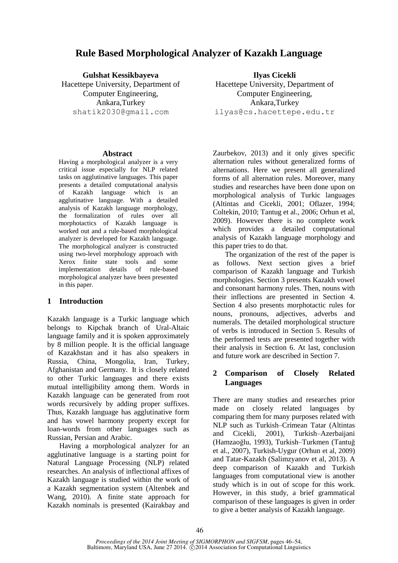# **Rule Based Morphological Analyzer of Kazakh Language**

**Gulshat Kessikbayeva**

Hacettepe University, Department of Computer Engineering, Ankara,Turkey shatik2030@gmail.com

#### **Abstract**

Having a morphological analyzer is a very critical issue especially for NLP related tasks on agglutinative languages. This paper presents a detailed computational analysis of Kazakh language which is an agglutinative language. With a detailed analysis of Kazakh language morphology, the formalization of rules over all morphotactics of Kazakh language is worked out and a rule-based morphological analyzer is developed for Kazakh language. The morphological analyzer is constructed using two-level morphology approach with Xerox finite state tools and some implementation details of rule-based morphological analyzer have been presented in this paper.

### **1 Introduction**

Kazakh language is a Turkic language which belongs to Kipchak branch of Ural-Altaic language family and it is spoken approximately by 8 million people. It is the official language of Kazakhstan and it has also speakers in Russia, China, Mongolia, Iran, Turkey, Afghanistan and Germany. It is closely related to other Turkic languages and there exists mutual intelligibility among them. Words in Kazakh language can be generated from root words recursively by adding proper suffixes. Thus, Kazakh language has agglutinative form and has vowel harmony property except for loan-words from other languages such as Russian, Persian and Arabic.

Having a morphological analyzer for an agglutinative language is a starting point for Natural Language Processing (NLP) related researches. An analysis of inflectional affixes of Kazakh language is studied within the work of a Kazakh segmentation system (Altenbek and Wang, 2010). A finite state approach for Kazakh nominals is presented (Kairakbay and

**Ilyas Cicekli** Hacettepe University, Department of Computer Engineering, Ankara,Turkey ilyas@cs.hacettepe.edu.tr

Zaurbekov, 2013) and it only gives specific alternation rules without generalized forms of alternations. Here we present all generalized forms of all alternation rules. Moreover, many studies and researches have been done upon on morphological analysis of Turkic languages (Altintas and Cicekli, 2001; Oflazer, 1994; Coltekin, 2010; Tantug et al., 2006; Orhun et al, 2009). However there is no complete work which provides a detailed computational analysis of Kazakh language morphology and this paper tries to do that.

The organization of the rest of the paper is as follows. Next section gives a brief comparison of Kazakh language and Turkish morphologies. Section 3 presents Kazakh vowel and consonant harmony rules. Then, nouns with their inflections are presented in Section 4. Section 4 also presents morphotactic rules for nouns, pronouns, adjectives, adverbs and numerals. The detailed morphological structure of verbs is introduced in Section 5. Results of the performed tests are presented together with their analysis in Section 6. At last, conclusion and future work are described in Section 7.

### **2 Comparison of Closely Related Languages**

There are many studies and researches prior made on closely related languages by comparing them for many purposes related with NLP such as Turkish–Crimean Tatar (Altintas and Cicekli, 2001), Turkish–Azerbaijani (Hamzaoğlu, 1993), Turkish–Turkmen (Tantuğ et al., 2007), Turkish-Uygur (Orhun et al, 2009) and Tatar-Kazakh (Salimzyanov et al, 2013). A deep comparison of Kazakh and Turkish languages from computational view is another study which is in out of scope for this work. However, in this study, a brief grammatical comparison of these languages is given in order to give a better analysis of Kazakh language.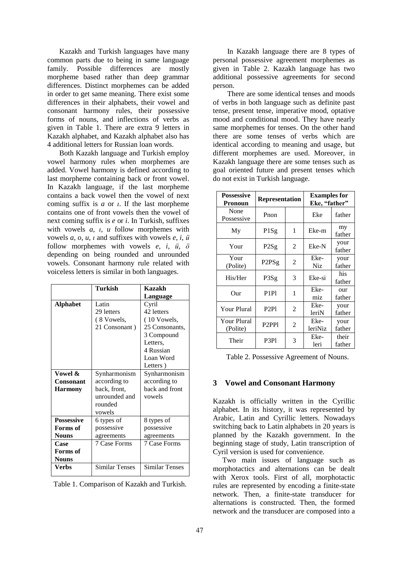Kazakh and Turkish languages have many common parts due to being in same language family. Possible differences are mostly morpheme based rather than deep grammar differences. Distinct morphemes can be added in order to get same meaning. There exist some differences in their alphabets, their vowel and consonant harmony rules, their possessive forms of nouns, and inflections of verbs as given in Table 1. There are extra 9 letters in Kazakh alphabet, and Kazakh alphabet also has 4 additional letters for Russian loan words.

Both Kazakh language and Turkish employ vowel harmony rules when morphemes are added. Vowel harmony is defined according to last morpheme containing back or front vowel. In Kazakh language, if the last morpheme contains a back vowel then the vowel of next coming suffix is *a* or *ı*. If the last morpheme contains one of front vowels then the vowel of next coming suffix is *e* or *i*. In Turkish, suffixes with vowels *a*, *ı*, *u* follow morphemes with vowels *a*, *o*, *u*, *ı* and suffixes with vowels *e*, *i*, *ü* follow morphemes with vowels *e*, *i*, *ü*, *ö* depending on being rounded and unrounded vowels. Consonant harmony rule related with voiceless letters is similar in both languages.

|                   | Turkish<br>Kazakh     |                       |  |
|-------------------|-----------------------|-----------------------|--|
|                   |                       | Language              |  |
| <b>Alphabet</b>   | Latin                 | Cyril                 |  |
|                   | 29 letters            | 42 letters            |  |
|                   | (8 Vowels,            | (10 Vowels,           |  |
|                   | 21 Consonant)         | 25 Consonants,        |  |
|                   |                       | 3 Compound            |  |
|                   |                       | Letters,              |  |
|                   |                       | 4 Russian             |  |
|                   |                       | Loan Word             |  |
|                   |                       | Letters)              |  |
| Vowel &           | Synharmonism          | Synharmonism          |  |
| Consonant         | according to          | according to          |  |
| <b>Harmony</b>    | back, front,          | back and front        |  |
|                   | unrounded and         | vowels                |  |
|                   | rounded               |                       |  |
|                   | vowels                |                       |  |
| <b>Possessive</b> | 6 types of            | 8 types of            |  |
| Forms of          | possessive            | possessive            |  |
| <b>Nouns</b>      | agreements            | agreements            |  |
| Case              | 7 Case Forms          | 7 Case Forms          |  |
| Forms of          |                       |                       |  |
| <b>Nouns</b>      |                       |                       |  |
| Verbs             | <b>Similar Tenses</b> | <b>Similar Tenses</b> |  |
|                   |                       |                       |  |

In Kazakh language there are 8 types of personal possessive agreement morphemes as given in Table 2. Kazakh language has two additional possessive agreements for second person.

There are some identical tenses and moods of verbs in both language such as definite past tense, present tense, imperative mood, optative mood and conditional mood. They have nearly same morphemes for tenses. On the other hand there are some tenses of verbs which are identical according to meaning and usage, but different morphemes are used. Moreover, in Kazakh language there are some tenses such as goal oriented future and present tenses which do not exist in Turkish language.

| <b>Possessive</b><br>Pronoun | <b>Representation</b>               |                | <b>Examples</b> for<br>Eke, "father" |                 |  |
|------------------------------|-------------------------------------|----------------|--------------------------------------|-----------------|--|
| None<br>Possessive           | Pnon                                |                | Eke                                  | father          |  |
| My                           | 1<br>P <sub>1</sub> Sg              |                | Eke-m                                | my<br>father    |  |
| Your                         | P <sub>2</sub> Sg                   | 2              | Eke-N                                | your<br>father  |  |
| Your<br>(Polite)             | P <sub>2</sub> P <sub>Sg</sub>      | 2              | Eke-<br>Niz.                         | your<br>father  |  |
| His/Her                      | P3Sg                                | 3              | Eke-si                               | his<br>father   |  |
| Our                          | P <sub>1P1</sub>                    | 1              | Eke-<br>miz                          | our<br>father   |  |
| Your Plural                  | P <sub>2P1</sub>                    | $\overline{c}$ | Eke-<br>leriN                        | your<br>father  |  |
| Your Plural<br>(Polite)      | P <sub>2</sub> PP <sub>1</sub><br>2 |                | Eke-<br>leriNiz                      | your<br>father  |  |
| Their<br>P3Pl                |                                     | 3              | Eke-<br>leri                         | their<br>father |  |

Table 2. Possessive Agreement of Nouns.

### **3 Vowel and Consonant Harmony**

Kazakh is officially written in the Cyrillic alphabet. In its history, it was represented by Arabic, Latin and Cyrillic letters. Nowadays switching back to Latin alphabets in 20 years is planned by the Kazakh government. In the beginning stage of study, Latin transcription of Cyril version is used for convenience.

Two main issues of language such as morphotactics and alternations can be dealt with Xerox tools. First of all, morphotactic rules are represented by encoding a finite-state network. Then, a finite-state transducer for alternations is constructed. Then, the formed network and the transducer are composed into a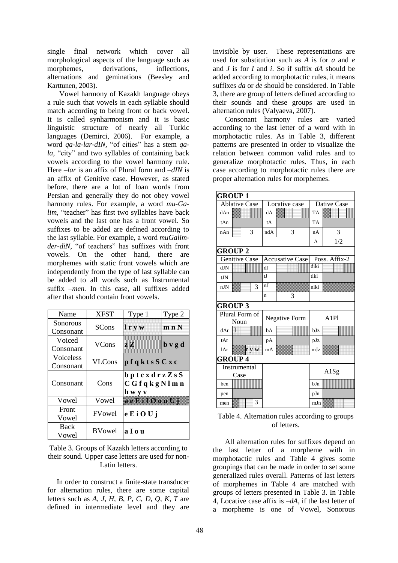single final network which cover all morphological aspects of the language such as morphemes, derivations, inflections, alternations and geminations (Beesley and Karttunen, 2003).

Vowel harmony of Kazakh language obeys a rule such that vowels in each syllable should match according to being front or back vowel. It is called synharmonism and it is basic linguistic structure of nearly all Turkic languages (Demirci, 2006). For example, a word *qa-la-lar-dIN,* "of cities" has a stem *qala*, "city" and two syllables of containing back vowels according to the vowel harmony rule. Here *–lar* is an affix of Plural form and *–dIN* is an affix of Genitive case. However, as stated before, there are a lot of loan words from Persian and generally they do not obey vowel harmony rules. For example, a word *mu-Galim,* "teacher" has first two syllables have back vowels and the last one has a front vowel. So suffixes to be added are defined according to the last syllable. For example, a word *muGalimder-diN*, "of teachers" has suffixes with front vowels. On the other hand, there are morphemes with static front vowels which are independently from the type of last syllable can be added to all words such as Instrumental suffix *–men.* In this case, all suffixes added after that should contain front vowels.

| Name                          | <b>XFST</b>    | Type 1                                                 | Type 2                                    |
|-------------------------------|----------------|--------------------------------------------------------|-------------------------------------------|
| Sonorous<br>Consonant         | <b>SCons</b>   | lryw<br>m n N                                          |                                           |
| Voiced<br>Consonant           | <b>VCons</b>   | 22 I.A                                                 | $\mathbf b \mathbf v \mathbf g \mathbf d$ |
| <b>Voiceless</b><br>Consonant | <b>VLCons</b>  | pf q k t s S C x c                                     |                                           |
| Consonant                     | Cons           | $b$ p t c x d r z Z s S<br>C G f q k g N l m n<br>hwyv |                                           |
| Vowel                         | Vowel          | aeEilOouUj                                             |                                           |
| Front<br>Vowel                | <b>FV</b> owel | eEiOUj                                                 |                                           |
| <b>Back</b><br>Vowel          | <b>BVowel</b>  | aIou                                                   |                                           |

Table 3. Groups of Kazakh letters according to their sound. Upper case letters are used for non-Latin letters.

In order to construct a finite-state transducer for alternation rules, there are some capital letters such as *A*, *J*, *H*, *B*, *P*, *C*, *D*, *Q*, *K, T* are defined in intermediate level and they are invisible by user. These representations are used for substitution such as *A* is for *a* and *e* and *J* is for *I* and *i*. So if suffix *dA* should be added according to morphotactic rules, it means suffixes *da* or *de* should be considered. In Table 3, there are group of letters defined according to their sounds and these groups are used in alternation rules (Valyaeva, 2007).

Consonant harmony rules are varied according to the last letter of a word with in morphotactic rules. As in Table 3, different patterns are presented in order to visualize the relation between common valid rules and to generalize morphotactic rules. Thus, in each case according to morphotactic rules there are proper alternation rules for morphemes.

| <b>GROUP1</b>          |      |                      |       |             |                        |  |           |               |
|------------------------|------|----------------------|-------|-------------|------------------------|--|-----------|---------------|
| <b>Ablative Case</b>   |      | Locative case        |       | Dative Case |                        |  |           |               |
| dAn                    |      |                      |       | dA          |                        |  | <b>TA</b> |               |
| tAn                    |      |                      |       | tA          |                        |  | TA        |               |
| nAn                    |      | 3                    |       | ndA         | 3                      |  | nA        | 3             |
|                        |      |                      |       |             |                        |  | A         | 1/2           |
| <b>GROUP 2</b>         |      |                      |       |             |                        |  |           |               |
| <b>Genitive Case</b>   |      |                      |       |             | <b>Accusative Case</b> |  |           | Poss. Affix-2 |
| dJN                    |      |                      |       | dJ          |                        |  | diki      |               |
| tJN                    |      |                      |       | t.I         |                        |  | tiki      |               |
| nJN                    |      |                      | 3     | nJ          |                        |  | niki      |               |
|                        |      |                      |       | n           | 3                      |  |           |               |
| <b>GROUP 3</b>         |      |                      |       |             |                        |  |           |               |
| Plural Form of<br>Noun |      | <b>Negative Form</b> |       | A1P1        |                        |  |           |               |
| dAr                    | 1    |                      |       | bA          |                        |  | bJz       |               |
| tAr                    |      |                      |       | pA          |                        |  | pJz       |               |
| 1Ar                    |      |                      | r y w | mA          |                        |  | mJz       |               |
| <b>GROUP4</b>          |      |                      |       |             |                        |  |           |               |
|                        |      | Instrumental         |       |             |                        |  |           | A1Sg          |
|                        | Case |                      |       |             |                        |  |           |               |
| ben                    |      |                      |       |             |                        |  | bJn       |               |
| pen                    |      |                      |       |             |                        |  | pJn       |               |
| men                    |      |                      | 3     |             |                        |  | mJn       |               |

Table 4. Alternation rules according to groups of letters.

All alternation rules for suffixes depend on the last letter of a morpheme with in morphotactic rules and Table 4 gives some groupings that can be made in order to set some generalized rules overall. Patterns of last letters of morphemes in Table 4 are matched with groups of letters presented in Table 3. In Table 4, Locative case affix is *–dA*, if the last letter of a morpheme is one of Vowel, Sonorous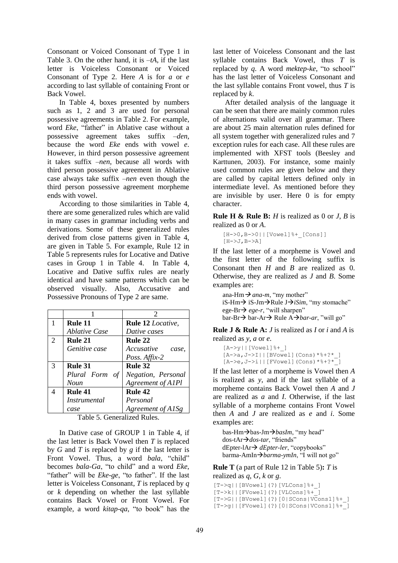Consonant or Voiced Consonant of Type 1 in Table 3. On the other hand, it is *–tA*, if the last letter is Voiceless Consonant or Voiced Consonant of Type 2. Here *A* is for *a* or *e* according to last syllable of containing Front or Back Vowel.

In Table 4, boxes presented by numbers such as 1, 2 and 3 are used for personal possessive agreements in Table 2. For example, word *Eke*, "father" in Ablative case without a possessive agreement takes suffix *–den*, because the word *Eke* ends with vowel *e*. However, in third person possessive agreement it takes suffix *–nen*, because all words with third person possessive agreement in Ablative case always take suffix *–nen* even though the third person possessive agreement morpheme ends with vowel.

According to those similarities in Table 4, there are some generalized rules which are valid in many cases in grammar including verbs and derivations. Some of these generalized rules derived from close patterns given in Table 4, are given in Table 5. For example, Rule 12 in Table 5 represents rules for Locative and Dative cases in Group 1 in Table 4. In Table 4, Locative and Dative suffix rules are nearly identical and have same patterns which can be observed visually. Also, Accusative and Possessive Pronouns of Type 2 are same.

|   |                             | 2                        |
|---|-----------------------------|--------------------------|
|   | Rule 11                     | <b>Rule 12 Locative,</b> |
|   | <i><b>Ablative Case</b></i> | Dative cases             |
| 2 | Rule 21                     | Rule 22                  |
|   | Genitive case               | Accusative<br>case,      |
|   |                             | Poss. Affix-2            |
| 3 | Rule 31                     | Rule 32                  |
|   | Plural Form of              | Negation, Personal       |
|   | Noun                        | Agreement of A1Pl        |
|   | Rule 41                     | Rule 42                  |
|   | <i>Instrumental</i>         | Personal                 |
|   | case                        | Agreement of A1Sg        |

Table 5. Generalized Rules.

In Dative case of GROUP 1 in Table 4, if the last letter is Back Vowel then *T* is replaced by  $G$  and  $T$  is replaced by  $g$  if the last letter is Front Vowel. Thus, a word *bala*, "child" becomes *bala-Ga*, "to child" and a word *Eke*, "father" will be *Eke-ge*, "to father". If the last letter is Voiceless Consonant, *T* is replaced by *q* or *k* depending on whether the last syllable contains Back Vowel or Front Vowel. For example, a word *kitap-qa*, "to book" has the last letter of Voiceless Consonant and the last syllable contains Back Vowel, thus *T* is replaced by *q*. A word *mektep-ke*, "to school" has the last letter of Voiceless Consonant and the last syllable contains Front vowel, thus *T* is replaced by *k*.

After detailed analysis of the language it can be seen that there are mainly common rules of alternations valid over all grammar. There are about 25 main alternation rules defined for all system together with generalized rules and 7 exception rules for each case. All these rules are implemented with XFST tools (Beesley and Karttunen, 2003). For instance, some mainly used common rules are given below and they are called by capital letters defined only in intermediate level. As mentioned before they are invisible by user. Here 0 is for empty character.

**Rule H & Rule B:** *H* is realized as 0 or *J*, *B* is realized as 0 or *A*.

```
[H->0,B->0||[Vowel]%+_[Cons]] 
[H->J, B->A]
```
If the last letter of a morpheme is Vowel and the first letter of the following suffix is Consonant then *H* and *B* are realized as 0. Otherwise, they are realized as *J* and *B*. Some examples are:

ana-Hm  $\rightarrow$  *ana-m*, "my mother" iS-Hm $\rightarrow$  iS-Jm $\rightarrow$ Rule J $\rightarrow$ *iSim*, "my stomache" ege-Br $\rightarrow$  *ege-r*, "will sharpen" bar-Br→ bar-Ar→ Rule A→ *bar-ar*, "will go"

**Rule J & Rule A:** *J* is realized as *I* or *i* and *A* is realized as *y*, *a* or *e*.

```
[A->y] | [Vowel]<sup>%+</sup>_]
[A->a, J->I] | [BVowel] (Cons)*\$+?* ][A->e, J->i] | [FVowel] (Cons) * * * ^{-1}]
```
If the last letter of a morpheme is Vowel then *A* is realized as *y*, and if the last syllable of a morpheme contains Back Vowel then *A* and *J* are realized as *a* and *I*. Otherwise, if the last syllable of a morpheme contains Front Vowel then *A* and *J* are realized as *e* and *i*. Some examples are:

bas-Hm $\rightarrow$ bas-Jm $\rightarrow$ *basIm*, "my head" dos-tAr*dos-tar*, "friends" dEpter-lAr *dEpter-ler*, "copybooks" barma-AmIn*barma-ymIn*, "I will not go"

**Rule T** (a part of Rule 12 in Table 5)**:** *T* is realized as *q*, *G*, *k* or *g*.

[T->q||[BVowel](?)[VLCons]%+\_] -<br>[T->k||[FVowel](?)[VLCons]<sup>%+</sub><sup>-</sup>]</sup> [T->G||[BVowel](?)[0|SCons|VCons1]%+\_] [T->g||[FVowel](?)[0|SCons|VCons1]%+\_]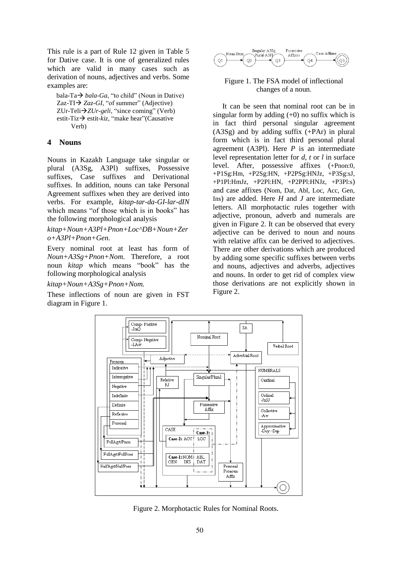This rule is a part of Rule 12 given in Table 5 for Dative case. It is one of generalized rules which are valid in many cases such as derivation of nouns, adjectives and verbs. Some examples are:

bala-Ta $\rightarrow$  *bala-Ga*, "to child" (Noun in Dative) Zaz-TI $\rightarrow$  *Zaz-GI*, "of summer" (Adjective) ZUr-Teli*ZUr-geli*, "since coming" (Verb) estit-Tiz→ estit-kiz, "make hear"(Causative Verb)

### **4 Nouns**

Nouns in Kazakh Language take singular or plural (A3Sg, A3Pl) suffixes, Possessive suffixes, Case suffixes and Derivational suffixes. In addition, nouns can take Personal Agreement suffixes when they are derived into verbs. For example, *kitap-tar-da-GI-lar-dIN* which means "of those which is in books" has the following morphological analysis

*kitap+Noun+A3Pl+Pnon+Loc^DB+Noun+Zer o+A3Pl+Pnon+Gen.*

Every nominal root at least has form of *Noun+A3Sg+Pnon+Nom*. Therefore, a root noun *kitap* which means "book" has the following morphological analysis

*kitap+Noun+A3Sg+Pnon+Nom.*

These inflections of noun are given in FST diagram in Figure 1.



#### Figure 1. The FSA model of inflectional changes of a noun*.*

It can be seen that nominal root can be in singular form by adding  $(+0)$  no suffix which is in fact third personal singular agreement (A3Sg) and by adding suffix (+PAr) in plural form which is in fact third personal plural agreement (A3Pl). Here *P* is an intermediate level representation letter for *d*, *t* or *l* in surface level. After, possessive affixes (+Pnon:0, +P1Sg:Hm, +P2Sg:HN, +P2PSg:HNJz, +P3Sg:sJ, +P1Pl:HmJz, +P2Pl:HN, +P2PPl:HNJz, +P3Pl:s) and case affixes (Nom, Dat, Abl, Loc, Acc, Gen, Ins) are added. Here *H* and *J* are intermediate letters. All morphotactic rules together with adjective, pronoun, adverb and numerals are given in Figure 2. It can be observed that every adjective can be derived to noun and nouns with relative affix can be derived to adjectives. There are other derivations which are produced by adding some specific suffixes between verbs and nouns, adjectives and adverbs, adjectives and nouns. In order to get rid of complex view those derivations are not explicitly shown in Figure 2.



Figure 2. Morphotactic Rules for Nominal Roots.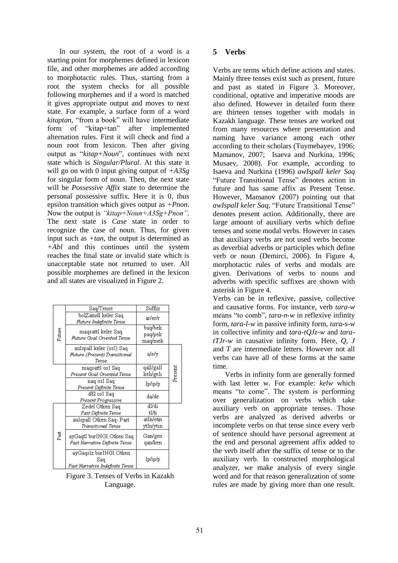In our system, the root of a word is a starting point for morphemes defined in lexicon file, and other morphemes are added according to morphotactic rules. Thus, starting from a root the system checks for all possible following morphemes and if a word is matched it gives appropriate output and moves to next state. For example, a surface form of a word *kitaptan,* "from a book" will have intermediate form of "kitap+tan" after implemented alternation rules. First it will check and find a noun root from lexicon. Then after giving output as "*kitap+Noun*", continues with next state which is *Singular/Plural*. At this state it will go on with 0 input giving output of *+A3Sg* for singular form of noun. Then, the next state will be *Possessive Affix* state to determine the personal possessive suffix. Here it is 0, thus epsilon transition which gives output as *+Pnon*. Now the output is *"kitap+Noun+A3Sg+Pnon"*. The next state is *Case* state in order to recognize the case of noun. Thus, for given input such as *+tan*, the output is determined as *+Abl* and this continues until the system reaches the final state or invalid state which is unacceptable state not returned to user. All possible morphemes are defined in the lexicon and all states are visualized in Figure 2.

|        | Saq/Tense                                                          | Suffix                        |         |
|--------|--------------------------------------------------------------------|-------------------------------|---------|
|        | bolZamdI keler Saq<br>Future Indefinite Tense                      | ar/er/r                       |         |
| Future | magsattI keler Sag<br>Future Goal Oriented Tense                   | baq/bek<br>paq/pek<br>maq/mek |         |
|        | auIspalI keler (osI) Saq<br>Future (Present) Transitional<br>Tense | a/e/y                         |         |
|        | magsattI osI Sag<br>Present Goal Oriented Tense                    | qalI/galI<br>keli/geli        | Present |
|        | nag osI Sag<br>Present Definite Tense                              | Ip/ip/p                       |         |
|        | dEl osI Saq<br>Present Progressive                                 | da/de                         |         |
|        | Zedel Otken Saq<br>Past Definite Tense                             | dI/di<br>tI/ti                |         |
|        | auIspalI Otken Saq- Past<br>Transitional Tense                     | atIn/etin<br>ytIn/ytin        |         |
| Past   | ayGaqtI burINGI Otken Saq<br>Past Narrative Definite Tense         | Gan/gen<br>qan/ken            |         |
|        | ayGaqsIz burINGI Otken<br>Saq<br>Past Narrative Indefinite Tense   | Ip/ip/p                       |         |

Figure 3. Tenses of Verbs in Kazakh Language.

## **5 Verbs**

Verbs are terms which define actions and states. Mainly three tenses exist such as present, future and past as stated in Figure 3. Moreover, conditional, optative and imperative moods are also defined. However in detailed form there are thirteen tenses together with modals in Kazakh language. These tenses are worked out from many resources where presentation and naming have variance among each other according to their scholars (Tuymebayev, 1996; Mamanov, 2007; Isaeva and Nurkina, 1996; Musaev, 2008). For example, according to Isaeva and Nurkina (1996) *awIspalI keler Saq* "Future Transitional Tense" denotes action in future and has same affix as Present Tense. However, Mamanov (2007) pointing out that *awIspalI keler Saq,* "Future Transitional Tense" denotes present action. Additionally, there are large amount of auxiliary verbs which define tenses and some modal verbs. However in cases that auxiliary verbs are not used verbs become as deverbial adverbs or participles which define verb or noun (Demirci, 2006). In Figure 4, morphotactic rules of verbs and modals are given. Derivations of verbs to nouns and adverbs with specific suffixes are shown with asterisk in Figure 4.

Verbs can be in reflexive, passive, collective and causative forms. For instance, verb *tara-w* means "to comb", *tara-n-w* in reflexive infinity form, *tara-l-w* in passive infinity form, *tara-s-w* in collective infinity and *tara-tQJz-w* and *taratTJr-w* in causative infinity form. Here, *Q*, *J* and *T* are intermediate letters. However not all verbs can have all of these forms at the same time.

Verbs in infinity form are generally formed with last letter w. For example: *kelw* which means "to come". The system is performing over generalization on verbs which take auxiliary verb on appropriate tenses. Those verbs are analyzed as derived adverbs or incomplete verbs on that tense since every verb of sentence should have personal agreement at the end and personal agreement affix added to the verb itself after the suffix of tense or to the auxiliary verb. In constructed morphological analyzer, we make analysis of every single word and for that reason generalization of some rules are made by giving more than one result.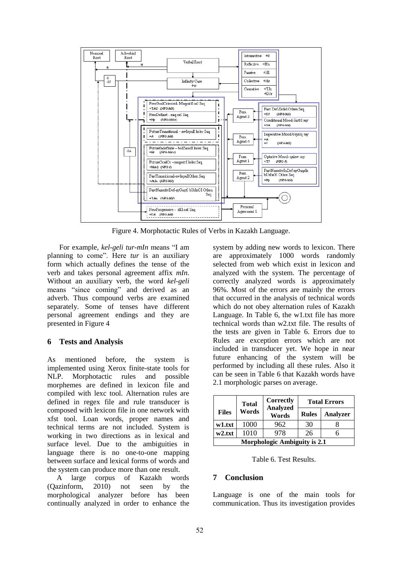

Figure 4. Morphotactic Rules of Verbs in Kazakh Language.

For example, *kel-geli tur-mIn* means "I am planning to come". Here *tur* is an auxiliary form which actually defines the tense of the verb and takes personal agreement affix *mIn*. Without an auxiliary verb, the word *kel-geli* means "since coming" and derived as an adverb. Thus compound verbs are examined separately. Some of tenses have different personal agreement endings and they are presented in Figure 4

# **6 Tests and Analysis**

As mentioned before, the system is implemented using Xerox finite-state tools for NLP. Morphotactic rules and possible morphemes are defined in lexicon file and compiled with lexc tool. Alternation rules are defined in regex file and rule transducer is composed with lexicon file in one network with xfst tool. Loan words, proper names and technical terms are not included. System is working in two directions as in lexical and surface level. Due to the ambiguities in language there is no one-to-one mapping between surface and lexical forms of words and the system can produce more than one result.

A large corpus of Kazakh words (Qazinform, 2010) not seen by the morphological analyzer before has been continually analyzed in order to enhance the

system by adding new words to lexicon. There are approximately 1000 words randomly selected from web which exist in lexicon and analyzed with the system. The percentage of correctly analyzed words is approximately 96%. Most of the errors are mainly the errors that occurred in the analysis of technical words which do not obey alternation rules of Kazakh Language. In Table 6, the w1.txt file has more technical words than w2.txt file. The results of the tests are given in Table 6. Errors due to Rules are exception errors which are not included in transducer yet. We hope in near future enhancing of the system will be performed by including all these rules. Also it can be seen in Table 6 that Kazakh words have 2.1 morphologic parses on average.

|                                     | <b>Total</b> | <b>Correctly</b><br><b>Analyzed</b> |              | <b>Total Errors</b> |  |
|-------------------------------------|--------------|-------------------------------------|--------------|---------------------|--|
| <b>Files</b>                        | Words        | Words                               | <b>Rules</b> | <b>Analyzer</b>     |  |
| w1.txt                              | 1000         | 962                                 | 30           |                     |  |
| w2.txt                              | 1010         | 978                                 | 26           |                     |  |
| <b>Morphologic Ambiguity is 2.1</b> |              |                                     |              |                     |  |

Table 6. Test Results.

# **7 Conclusion**

Language is one of the main tools for communication. Thus its investigation provides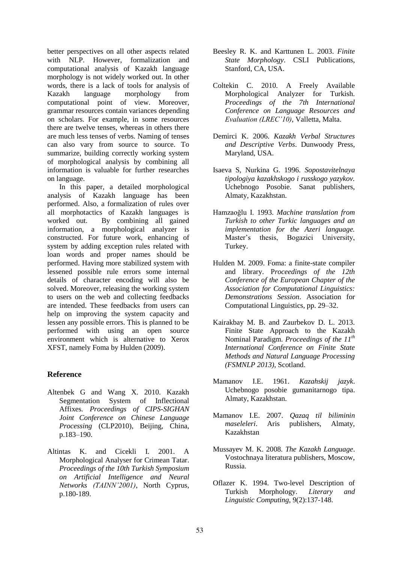better perspectives on all other aspects related with NLP. However, formalization and computational analysis of Kazakh language morphology is not widely worked out. In other words, there is a lack of tools for analysis of Kazakh language morphology from computational point of view. Moreover, grammar resources contain variances depending on scholars. For example, in some resources there are twelve tenses, whereas in others there are much less tenses of verbs. Naming of tenses can also vary from source to source. To summarize, building correctly working system of morphological analysis by combining all information is valuable for further researches on language.

In this paper, a detailed morphological analysis of Kazakh language has been performed. Also, a formalization of rules over all morphotactics of Kazakh languages is worked out. By combining all gained information, a morphological analyzer is constructed. For future work, enhancing of system by adding exception rules related with loan words and proper names should be performed. Having more stabilized system with lessened possible rule errors some internal details of character encoding will also be solved. Moreover, releasing the working system to users on the web and collecting feedbacks are intended. These feedbacks from users can help on improving the system capacity and lessen any possible errors. This is planned to be performed with using an open source environment which is alternative to Xerox XFST, namely Foma by Hulden (2009).

# **Reference**

- Altenbek G and Wang X. 2010. Kazakh Segmentation System of Inflectional Affixes*. Proceedings of CIPS-SIGHAN Joint Conference on Chinese Language Processing* (CLP2010), Beijing, China, p.183–190.
- Altintas K. and Cicekli I. 2001. A Morphological Analyser for Crimean Tatar. *Proceedings of the 10th Turkish Symposium on Artificial Intelligence and Neural Networks (TAINN'2001)*, North Cyprus, p.180-189.
- Beesley R. K. and Karttunen L. 2003. *Finite State Morphology*. CSLI Publications, Stanford, CA, USA.
- Coltekin C. 2010. A Freely Available Morphological Analyzer for Turkish*. Proceedings of the 7th International Conference on Language Resources and Evaluation (LREC'10)*, Valletta, Malta.
- Demirci K. 2006. *Kazakh Verbal Structures and Descriptive Verbs*. Dunwoody Press, Maryland, USA.
- Isaeva S, Nurkina G. 1996. *Sopostavitelnaya tipologiya kazakhskogo i russkogo yazykov.* Uchebnogo Posobie. Sanat publishers, Almaty, Kazakhstan.
- Hamzaoğlu I. 1993. *Machine translation from Turkish to other Turkic languages and an implementation for the Azeri language.* Master's thesis, Bogazici University, Turkey.
- Hulden M. 2009. Foma: a finite-state compiler and library. P*roceedings of the 12th Conference of the European Chapter of the Association for Computational Linguistics: Demonstrations Session*. Association for Computational Linguistics, pp. 29–32.
- Kairakbay M. B. and Zaurbekov D. L. 2013. Finite State Approach to the Kazakh Nominal Paradigm. *Proceedings of the 11th International Conference on Finite State Methods and Natural Language Processing (FSMNLP 2013)*, Scotland.
- Mamanov I.E. 1961. *Kazahskij jazyk*. Uchebnogo posobie gumanitarnogo tipa. Almaty, Kazakhstan.
- Mamanov I.E. 2007. *Qazaq til biliminin maseleleri*. Aris publishers, Almaty, Kazakhstan
- Mussayev M. K. 2008. *The Kazakh Language*. Vostochnaya literatura publishers, Moscow, Russia.
- Oflazer K. 1994. Two-level Description of Turkish Morphology. *Literary and Linguistic Computing*, 9(2):137-148.